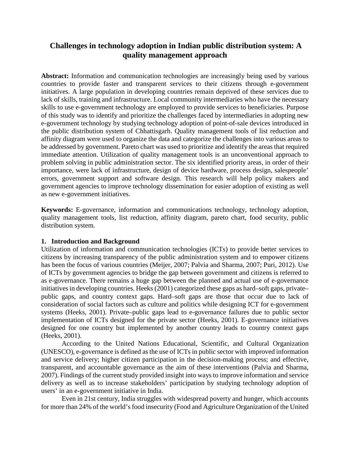# **Challenges in technology adoption in Indian public distribution system: A quality management approach**

Abstract: Information and communication technologies are increasingly being used by various countries to provide faster and transparent services to their citizens through e-government initiatives. A large population in developing countries remain deprived of these services due to lack of skills, training and infrastructure. Local community intermediaries who have the necessary skills to use e-government technology are employed to provide services to beneficiaries. Purpose of this study was to identify and prioritize the challenges faced by intermediaries in adopting new e-government technology by studying technology adoption of point-of-sale devices introduced in the public distribution system of Chhattisgarh. Quality management tools of list reduction and affinity diagram were used to organize the data and categorize the challenges into various areas to be addressed by government. Pareto chart was used to prioritize and identify the areas that required immediate attention. Utilization of quality management tools is an unconventional approach to problem solving in public administration sector. The six identified priority areas, in order of their importance, were lack of infrastructure, design of device hardware, process design, salespeople' errors, government support and software design. This research will help policy makers and government agencies to improve technology dissemination for easier adoption of existing as well as new e-government initiatives.

**Keywords:** E-governance, information and communications technology, technology adoption, quality management tools, list reduction, affinity diagram, pareto chart, food security, public distribution system.

## **1. Introduction and Background**

Utilization of information and communication technologies (ICTs) to provide better services to citizens by increasing transparency of the public administration system and to empower citizens has been the focus of various countries (Meijer, 2007; Palvia and Sharma, 2007; Puri, 2012). Use of ICTs by government agencies to bridge the gap between government and citizens is referred to as e-governance. There remains a huge gap between the planned and actual use of e-governance initiatives in developing countries. Heeks (2001) categorized these gaps as hard–soft gaps, private– public gaps, and country context gaps. Hard–soft gaps are those that occur due to lack of consideration of social factors such as culture and politics while designing ICT for e-government systems (Heeks, 2001). Private–public gaps lead to e-governance failures due to public sector implementation of ICTs designed for the private sector (Heeks, 2001). E-governance initiatives designed for one country but implemented by another country leads to country context gaps (Heeks, 2001).

According to the United Nations Educational, Scientific, and Cultural Organization (UNESCO), e-governance is defined as the use of ICTs in public sector with improved information and service delivery; higher citizen participation in the decision-making process; and effective, transparent, and accountable governance as the aim of these interventions (Palvia and Sharma, 2007). Findings of the current study provided insight into ways to improve information and service delivery as well as to increase stakeholders' participation by studying technology adoption of users' in an e-government initiative in India.

Even in 21st century, India struggles with widespread poverty and hunger, which accounts for more than 24% of the world's food insecurity (Food and Agriculture Organization of the United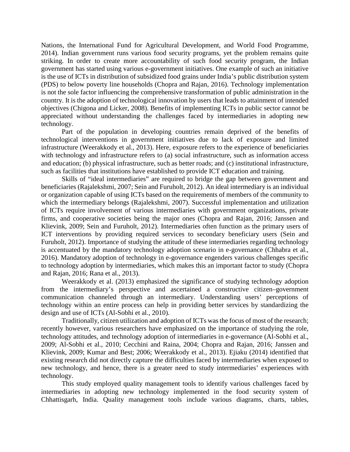Nations, the International Fund for Agricultural Development, and World Food Programme, 2014). Indian government runs various food security programs, yet the problem remains quite striking. In order to create more accountability of such food security program, the Indian government has started using various e-government initiatives. One example of such an initiative is the use of ICTs in distribution of subsidized food grains under India's public distribution system (PDS) to below poverty line households (Chopra and Rajan, 2016). Technology implementation is not the sole factor influencing the comprehensive transformation of public administration in the country. It is the adoption of technological innovation by users that leads to attainment of intended objectives (Chigona and Licker, 2008). Benefits of implementing ICTs in public sector cannot be appreciated without understanding the challenges faced by intermediaries in adopting new technology.

Part of the population in developing countries remain deprived of the benefits of technological interventions in government initiatives due to lack of exposure and limited infrastructure (Weerakkody et al., 2013). Here, exposure refers to the experience of beneficiaries with technology and infrastructure refers to (a) social infrastructure, such as information access and education; (b) physical infrastructure, such as better roads; and (c) institutional infrastructure, such as facilities that institutions have established to provide ICT education and training.

Skills of "ideal intermediaries" are required to bridge the gap between government and beneficiaries (Rajalekshmi, 2007; Sein and Furuholt, 2012). An ideal intermediary is an individual or organization capable of using ICTs based on the requirements of members of the community to which the intermediary belongs (Rajalekshmi, 2007). Successful implementation and utilization of ICTs require involvement of various intermediaries with government organizations, private firms, and cooperative societies being the major ones (Chopra and Rajan, 2016; Janssen and Klievink, 2009; Sein and Furuholt, 2012). Intermediaries often function as the primary users of ICT interventions by providing required services to secondary beneficiary users (Sein and Furuholt, 2012). Importance of studying the attitude of these intermediaries regarding technology is accentuated by the mandatory technology adoption scenario in e-governance (Chhabra et al., 2016). Mandatory adoption of technology in e-governance engenders various challenges specific to technology adoption by intermediaries, which makes this an important factor to study (Chopra and Rajan, 2016; Rana et al., 2013).

Weerakkody et al. (2013) emphasized the significance of studying technology adoption from the intermediary's perspective and ascertained a constructive citizen–government communication channeled through an intermediary. Understanding users' perceptions of technology within an entire process can help in providing better services by standardizing the design and use of ICTs (Al-Sobhi et al., 2010).

Traditionally, citizen utilization and adoption of ICTs was the focus of most of the research; recently however, various researchers have emphasized on the importance of studying the role, technology attitudes, and technology adoption of intermediaries in e-governance (Al-Sobhi et al., 2009; Al-Sobhi et al., 2010; Cecchini and Raina, 2004; Chopra and Rajan, 2016; Janssen and Klievink, 2009; Kumar and Best; 2006; Weerakkody et al., 2013). Ejiaku (2014) identified that existing research did not directly capture the difficulties faced by intermediaries when exposed to new technology, and hence, there is a greater need to study intermediaries' experiences with technology.

This study employed quality management tools to identify various challenges faced by intermediaries in adopting new technology implemented in the food security system of Chhattisgarh, India. Quality management tools include various diagrams, charts, tables,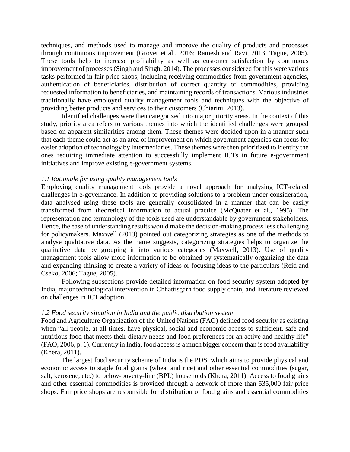techniques, and methods used to manage and improve the quality of products and processes through continuous improvement (Grover et al., 2016; Ramesh and Ravi, 2013; Tague, 2005). These tools help to increase profitability as well as customer satisfaction by continuous improvement of processes (Singh and Singh, 2014). The processes considered for this were various tasks performed in fair price shops, including receiving commodities from government agencies, authentication of beneficiaries, distribution of correct quantity of commodities, providing requested information to beneficiaries, and maintaining records of transactions. Various industries traditionally have employed quality management tools and techniques with the objective of providing better products and services to their customers (Chiarini, 2013).

Identified challenges were then categorized into major priority areas. In the context of this study, priority area refers to various themes into which the identified challenges were grouped based on apparent similarities among them. These themes were decided upon in a manner such that each theme could act as an area of improvement on which government agencies can focus for easier adoption of technology by intermediaries. These themes were then prioritized to identify the ones requiring immediate attention to successfully implement ICTs in future e-government initiatives and improve existing e-government systems.

## *1.1 Rationale for using quality management tools*

Employing quality management tools provide a novel approach for analysing ICT-related challenges in e-governance. In addition to providing solutions to a problem under consideration, data analysed using these tools are generally consolidated in a manner that can be easily transformed from theoretical information to actual practice (McQuater et al., 1995). The representation and terminology of the tools used are understandable by government stakeholders. Hence, the ease of understanding results would make the decision-making process less challenging for policymakers. Maxwell (2013) pointed out categorizing strategies as one of the methods to analyse qualitative data. As the name suggests, categorizing strategies helps to organize the qualitative data by grouping it into various categories (Maxwell, 2013). Use of quality management tools allow more information to be obtained by systematically organizing the data and expanding thinking to create a variety of ideas or focusing ideas to the particulars (Reid and Cseko, 2006; Tague, 2005).

Following subsections provide detailed information on food security system adopted by India, major technological intervention in Chhattisgarh food supply chain, and literature reviewed on challenges in ICT adoption.

#### *1.2 Food security situation in India and the public distribution system*

Food and Agriculture Organization of the United Nations (FAO) defined food security as existing when "all people, at all times, have physical, social and economic access to sufficient, safe and nutritious food that meets their dietary needs and food preferences for an active and healthy life" (FAO, 2006, p. 1). Currently in India, food access is a much bigger concern than is food availability (Khera, 2011).

The largest food security scheme of India is the PDS, which aims to provide physical and economic access to staple food grains (wheat and rice) and other essential commodities (sugar, salt, kerosene, etc.) to below-poverty-line (BPL) households (Khera, 2011). Access to food grains and other essential commodities is provided through a network of more than 535,000 fair price shops. Fair price shops are responsible for distribution of food grains and essential commodities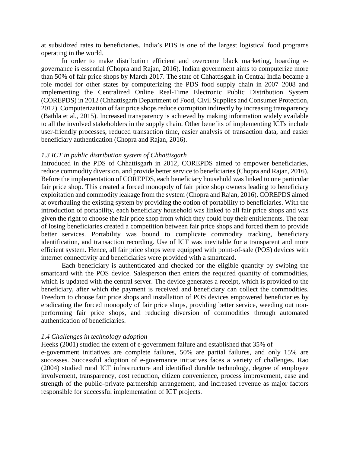at subsidized rates to beneficiaries. India's PDS is one of the largest logistical food programs operating in the world.

In order to make distribution efficient and overcome black marketing, hoarding egovernance is essential (Chopra and Rajan, 2016). Indian government aims to computerize more than 50% of fair price shops by March 2017. The state of Chhattisgarh in Central India became a role model for other states by computerizing the PDS food supply chain in 2007–2008 and implementing the Centralized Online Real-Time Electronic Public Distribution System (COREPDS) in 2012 (Chhattisgarh Department of Food, Civil Supplies and Consumer Protection, 2012). Computerization of fair price shops reduce corruption indirectly by increasing transparency (Bathla et al., 2015). Increased transparency is achieved by making information widely available to all the involved stakeholders in the supply chain. Other benefits of implementing ICTs include user-friendly processes, reduced transaction time, easier analysis of transaction data, and easier beneficiary authentication (Chopra and Rajan, 2016).

#### *1.3 ICT in public distribution system of Chhattisgarh*

Introduced in the PDS of Chhattisgarh in 2012, COREPDS aimed to empower beneficiaries, reduce commodity diversion, and provide better service to beneficiaries (Chopra and Rajan, 2016). Before the implementation of COREPDS, each beneficiary household was linked to one particular fair price shop. This created a forced monopoly of fair price shop owners leading to beneficiary exploitation and commodity leakage from the system (Chopra and Rajan, 2016). COREPDS aimed at overhauling the existing system by providing the option of portability to beneficiaries. With the introduction of portability, each beneficiary household was linked to all fair price shops and was given the right to choose the fair price shop from which they could buy their entitlements. The fear of losing beneficiaries created a competition between fair price shops and forced them to provide better services. Portability was bound to complicate commodity tracking, beneficiary identification, and transaction recording. Use of ICT was inevitable for a transparent and more efficient system. Hence, all fair price shops were equipped with point-of-sale (POS) devices with internet connectivity and beneficiaries were provided with a smartcard.

Each beneficiary is authenticated and checked for the eligible quantity by swiping the smartcard with the POS device. Salesperson then enters the required quantity of commodities, which is updated with the central server. The device generates a receipt, which is provided to the beneficiary, after which the payment is received and beneficiary can collect the commodities. Freedom to choose fair price shops and installation of POS devices empowered beneficiaries by eradicating the forced monopoly of fair price shops, providing better service, weeding out nonperforming fair price shops, and reducing diversion of commodities through automated authentication of beneficiaries.

#### *1.4 Challenges in technology adoption*

Heeks (2001) studied the extent of e-government failure and established that 35% of

e-government initiatives are complete failures, 50% are partial failures, and only 15% are successes. Successful adoption of e-governance initiatives faces a variety of challenges. Rao (2004) studied rural ICT infrastructure and identified durable technology, degree of employee involvement, transparency, cost reduction, citizen convenience, process improvement, ease and strength of the public–private partnership arrangement, and increased revenue as major factors responsible for successful implementation of ICT projects.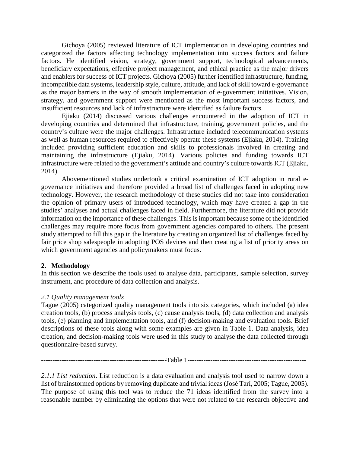Gichoya (2005) reviewed literature of ICT implementation in developing countries and categorized the factors affecting technology implementation into success factors and failure factors. He identified vision, strategy, government support, technological advancements, beneficiary expectations, effective project management, and ethical practice as the major drivers and enablers for success of ICT projects. Gichoya (2005) further identified infrastructure, funding, incompatible data systems, leadership style, culture, attitude, and lack of skill toward e-governance as the major barriers in the way of smooth implementation of e-government initiatives. Vision, strategy, and government support were mentioned as the most important success factors, and insufficient resources and lack of infrastructure were identified as failure factors.

Ejiaku (2014) discussed various challenges encountered in the adoption of ICT in developing countries and determined that infrastructure, training, government policies, and the country's culture were the major challenges. Infrastructure included telecommunication systems as well as human resources required to effectively operate these systems (Ejiaku, 2014). Training included providing sufficient education and skills to professionals involved in creating and maintaining the infrastructure (Ejiaku, 2014). Various policies and funding towards ICT infrastructure were related to the government's attitude and country's culture towards ICT (Ejiaku, 2014).

Abovementioned studies undertook a critical examination of ICT adoption in rural egovernance initiatives and therefore provided a broad list of challenges faced in adopting new technology. However, the research methodology of these studies did not take into consideration the opinion of primary users of introduced technology, which may have created a gap in the studies' analyses and actual challenges faced in field. Furthermore, the literature did not provide information on the importance of these challenges. This is important because some of the identified challenges may require more focus from government agencies compared to others. The present study attempted to fill this gap in the literature by creating an organized list of challenges faced by fair price shop salespeople in adopting POS devices and then creating a list of priority areas on which government agencies and policymakers must focus.

## **2. Methodology**

In this section we describe the tools used to analyse data, participants, sample selection, survey instrument, and procedure of data collection and analysis.

# *2.1 Quality management tools*

Tague (2005) categorized quality management tools into six categories, which included (a) idea creation tools, (b) process analysis tools, (c) cause analysis tools, (d) data collection and analysis tools, (e) planning and implementation tools, and (f) decision-making and evaluation tools. Brief descriptions of these tools along with some examples are given in Table 1. Data analysis, idea creation, and decision-making tools were used in this study to analyse the data collected through questionnaire-based survey.

| ан |  |
|----|--|
|----|--|

*2.1.1 List reduction*. List reduction is a data evaluation and analysis tool used to narrow down a list of brainstormed options by removing duplicate and trivial ideas (José Tarí, 2005; Tague, 2005). The purpose of using this tool was to reduce the 71 ideas identified from the survey into a reasonable number by eliminating the options that were not related to the research objective and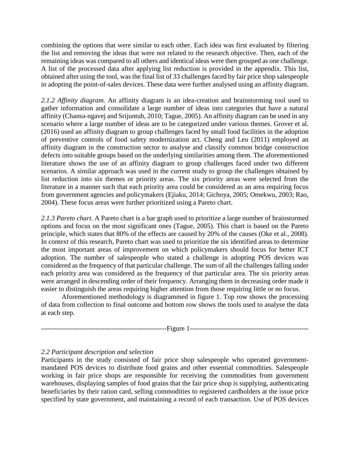combining the options that were similar to each other. Each idea was first evaluated by filtering the list and removing the ideas that were not related to the research objective. Then, each of the remaining ideas was compared to all others and identical ideas were then grouped as one challenge. A list of the processed data after applying list reduction is provided in the appendix. This list, obtained after using the tool, was the final list of 33 challenges faced by fair price shop salespeople in adopting the point-of-sales devices. These data were further analysed using an affinity diagram.

*2.1.2 Affinity diagram.* An affinity diagram is an idea-creation and brainstorming tool used to gather information and consolidate a large number of ideas into categories that have a natural affinity (Chansa-ngavej and Srijuntub, 2010; Tague, 2005). An affinity diagram can be used in any scenario where a large number of ideas are to be categorized under various themes. Grover et al. (2016) used an affinity diagram to group challenges faced by small food facilities in the adoption of preventive controls of food safety modernization act. Cheng and Leu (2011) employed an affinity diagram in the construction sector to analyse and classify common bridge construction defects into suitable groups based on the underlying similarities among them. The aforementioned literature shows the use of an affinity diagram to group challenges faced under two different scenarios. A similar approach was used in the current study to group the challenges obtained by list reduction into six themes or priority areas. The six priority areas were selected from the literature in a manner such that each priority area could be considered as an area requiring focus from government agencies and policymakers (Ejiaku, 2014; Gichoya, 2005; Omekwu, 2003; Rao, 2004). These focus areas were further prioritized using a Pareto chart.

*2.1.3 Pareto chart.* A Pareto chart is a bar graph used to prioritize a large number of brainstormed options and focus on the most significant ones (Tague, 2005). This chart is based on the Pareto principle, which states that 80% of the effects are caused by 20% of the causes (Oke et al., 2008). In context of this research, Pareto chart was used to prioritize the six identified areas to determine the most important areas of improvement on which policymakers should focus for better ICT adoption. The number of salespeople who stated a challenge in adopting POS devices was considered as the frequency of that particular challenge. The sum of all the challenges falling under each priority area was considered as the frequency of that particular area. The six priority areas were arranged in descending order of their frequency. Arranging them in decreasing order made it easier to distinguish the areas requiring higher attention from those requiring little or no focus.

Aforementioned methodology is diagrammed in figure 1. Top row shows the processing of data from collection to final outcome and bottom row shows the tools used to analyse the data at each step.

-------------------------------------------------------Figure 1----------------------------------------------------

## *2.2 Participant description and selection*

Participants in the study consisted of fair price shop salespeople who operated governmentmandated POS devices to distribute food grains and other essential commodities. Salespeople working in fair price shops are responsible for receiving the commodities from government warehouses, displaying samples of food grains that the fair price shop is supplying, authenticating beneficiaries by their ration card, selling commodities to registered cardholders at the issue price specified by state government, and maintaining a record of each transaction. Use of POS devices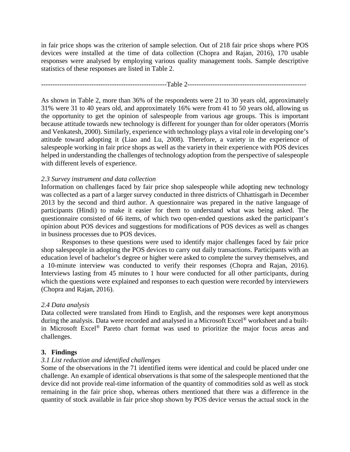in fair price shops was the criterion of sample selection. Out of 218 fair price shops where POS devices were installed at the time of data collection (Chopra and Rajan, 2016), 170 usable responses were analysed by employing various quality management tools. Sample descriptive statistics of these responses are listed in Table 2.

-------------------------------------------------------Table 2----------------------------------------------------

As shown in Table 2, more than 36% of the respondents were 21 to 30 years old, approximately 31% were 31 to 40 years old, and approximately 16% were from 41 to 50 years old, allowing us the opportunity to get the opinion of salespeople from various age groups. This is important because attitude towards new technology is different for younger than for older operators (Morris and Venkatesh, 2000). Similarly, experience with technology plays a vital role in developing one's attitude toward adopting it (Liao and Lu, 2008). Therefore, a variety in the experience of salespeople working in fair price shops as well as the variety in their experience with POS devices helped in understanding the challenges of technology adoption from the perspective of salespeople with different levels of experience.

# *2.3 Survey instrument and data collection*

Information on challenges faced by fair price shop salespeople while adopting new technology was collected as a part of a larger survey conducted in three districts of Chhattisgarh in December 2013 by the second and third author. A questionnaire was prepared in the native language of participants (Hindi) to make it easier for them to understand what was being asked. The questionnaire consisted of 66 items, of which two open-ended questions asked the participant's opinion about POS devices and suggestions for modifications of POS devices as well as changes in business processes due to POS devices.

Responses to these questions were used to identify major challenges faced by fair price shop salespeople in adopting the POS devices to carry out daily transactions. Participants with an education level of bachelor's degree or higher were asked to complete the survey themselves, and a 10-minute interview was conducted to verify their responses (Chopra and Rajan, 2016). Interviews lasting from 45 minutes to 1 hour were conducted for all other participants, during which the questions were explained and responses to each question were recorded by interviewers (Chopra and Rajan, 2016).

## *2.4 Data analysis*

Data collected were translated from Hindi to English, and the responses were kept anonymous during the analysis. Data were recorded and analysed in a Microsoft Excel<sup>®</sup> worksheet and a builtin Microsoft Excel® Pareto chart format was used to prioritize the major focus areas and challenges.

## **3. Findings**

# *3.1 List reduction and identified challenges*

Some of the observations in the 71 identified items were identical and could be placed under one challenge. An example of identical observations is that some of the salespeople mentioned that the device did not provide real-time information of the quantity of commodities sold as well as stock remaining in the fair price shop, whereas others mentioned that there was a difference in the quantity of stock available in fair price shop shown by POS device versus the actual stock in the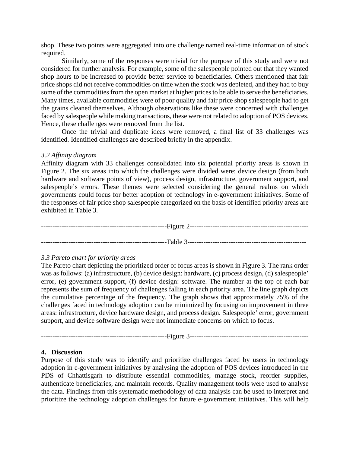shop. These two points were aggregated into one challenge named real-time information of stock required.

Similarly, some of the responses were trivial for the purpose of this study and were not considered for further analysis. For example, some of the salespeople pointed out that they wanted shop hours to be increased to provide better service to beneficiaries. Others mentioned that fair price shops did not receive commodities on time when the stock was depleted, and they had to buy some of the commodities from the open market at higher prices to be able to serve the beneficiaries. Many times, available commodities were of poor quality and fair price shop salespeople had to get the grains cleaned themselves. Although observations like these were concerned with challenges faced by salespeople while making transactions, these were not related to adoption of POS devices. Hence, these challenges were removed from the list.

Once the trivial and duplicate ideas were removed, a final list of 33 challenges was identified. Identified challenges are described briefly in the appendix.

## *3.2 Affinity diagram*

Affinity diagram with 33 challenges consolidated into six potential priority areas is shown in Figure 2. The six areas into which the challenges were divided were: device design (from both hardware and software points of view), process design, infrastructure, government support, and salespeople's errors. These themes were selected considering the general realms on which governments could focus for better adoption of technology in e-government initiatives. Some of the responses of fair price shop salespeople categorized on the basis of identified priority areas are exhibited in Table 3.

-------------------------------------------------------Figure 2---------------------------------------------------- -------------------------------------------------------Table 3----------------------------------------------------

## *3.3 Pareto chart for priority areas*

The Pareto chart depicting the prioritized order of focus areas is shown in Figure 3. The rank order was as follows: (a) infrastructure, (b) device design: hardware, (c) process design, (d) salespeople' error, (e) government support, (f) device design: software. The number at the top of each bar represents the sum of frequency of challenges falling in each priority area. The line graph depicts the cumulative percentage of the frequency. The graph shows that approximately 75% of the challenges faced in technology adoption can be minimized by focusing on improvement in three areas: infrastructure, device hardware design, and process design. Salespeople' error, government support, and device software design were not immediate concerns on which to focus.

-------------------------------------------------------Figure 3----------------------------------------------------

## **4. Discussion**

Purpose of this study was to identify and prioritize challenges faced by users in technology adoption in e-government initiatives by analysing the adoption of POS devices introduced in the PDS of Chhattisgarh to distribute essential commodities, manage stock, reorder supplies, authenticate beneficiaries, and maintain records. Quality management tools were used to analyse the data. Findings from this systematic methodology of data analysis can be used to interpret and prioritize the technology adoption challenges for future e-government initiatives. This will help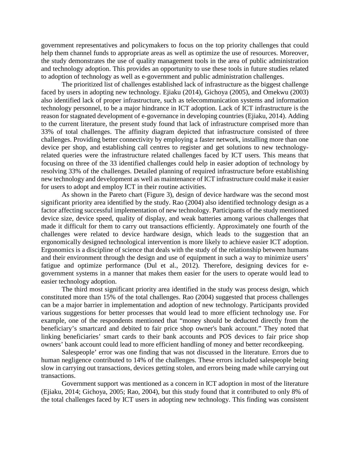government representatives and policymakers to focus on the top priority challenges that could help them channel funds to appropriate areas as well as optimize the use of resources. Moreover, the study demonstrates the use of quality management tools in the area of public administration and technology adoption. This provides an opportunity to use these tools in future studies related to adoption of technology as well as e-government and public administration challenges.

The prioritized list of challenges established lack of infrastructure as the biggest challenge faced by users in adopting new technology. Ejiaku (2014), Gichoya (2005), and Omekwu (2003) also identified lack of proper infrastructure, such as telecommunication systems and information technology personnel, to be a major hindrance in ICT adoption. Lack of ICT infrastructure is the reason for stagnated development of e-governance in developing countries (Ejiaku, 2014). Adding to the current literature, the present study found that lack of infrastructure comprised more than 33% of total challenges. The affinity diagram depicted that infrastructure consisted of three challenges. Providing better connectivity by employing a faster network, installing more than one device per shop, and establishing call centres to register and get solutions to new technologyrelated queries were the infrastructure related challenges faced by ICT users. This means that focusing on three of the 33 identified challenges could help in easier adoption of technology by resolving 33% of the challenges. Detailed planning of required infrastructure before establishing new technology and development as well as maintenance of ICT infrastructure could make it easier for users to adopt and employ ICT in their routine activities.

As shown in the Pareto chart (Figure 3), design of device hardware was the second most significant priority area identified by the study. Rao (2004) also identified technology design as a factor affecting successful implementation of new technology. Participants of the study mentioned device size, device speed, quality of display, and weak batteries among various challenges that made it difficult for them to carry out transactions efficiently. Approximately one fourth of the challenges were related to device hardware design, which leads to the suggestion that an ergonomically designed technological intervention is more likely to achieve easier ICT adoption. Ergonomics is a discipline of science that deals with the study of the relationship between humans and their environment through the design and use of equipment in such a way to minimize users' fatigue and optimize performance (Dul et al., 2012). Therefore, designing devices for egovernment systems in a manner that makes them easier for the users to operate would lead to easier technology adoption.

The third most significant priority area identified in the study was process design, which constituted more than 15% of the total challenges. Rao (2004) suggested that process challenges can be a major barrier in implementation and adoption of new technology. Participants provided various suggestions for better processes that would lead to more efficient technology use. For example, one of the respondents mentioned that "money should be deducted directly from the beneficiary's smartcard and debited to fair price shop owner's bank account." They noted that linking beneficiaries' smart cards to their bank accounts and POS devices to fair price shop owners' bank account could lead to more efficient handling of money and better recordkeeping.

Salespeople' error was one finding that was not discussed in the literature. Errors due to human negligence contributed to 14% of the challenges. These errors included salespeople being slow in carrying out transactions, devices getting stolen, and errors being made while carrying out transactions.

Government support was mentioned as a concern in ICT adoption in most of the literature (Ejiaku, 2014; Gichoya, 2005; Rao, 2004), but this study found that it contributed to only 8% of the total challenges faced by ICT users in adopting new technology. This finding was consistent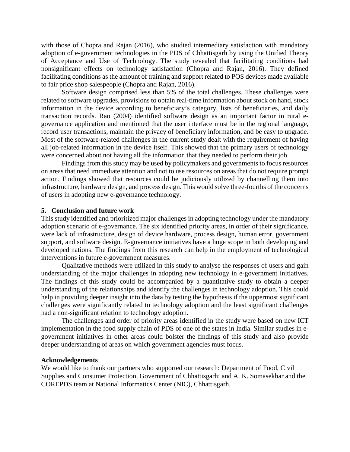with those of Chopra and Rajan (2016), who studied intermediary satisfaction with mandatory adoption of e-government technologies in the PDS of Chhattisgarh by using the Unified Theory of Acceptance and Use of Technology. The study revealed that facilitating conditions had nonsignificant effects on technology satisfaction (Chopra and Rajan, 2016). They defined facilitating conditions as the amount of training and support related to POS devices made available to fair price shop salespeople (Chopra and Rajan, 2016).

Software design comprised less than 5% of the total challenges. These challenges were related to software upgrades, provisions to obtain real-time information about stock on hand, stock information in the device according to beneficiary's category, lists of beneficiaries, and daily transaction records. Rao (2004) identified software design as an important factor in rural egovernance application and mentioned that the user interface must be in the regional language, record user transactions, maintain the privacy of beneficiary information, and be easy to upgrade. Most of the software-related challenges in the current study dealt with the requirement of having all job-related information in the device itself. This showed that the primary users of technology were concerned about not having all the information that they needed to perform their job.

Findings from this study may be used by policymakers and governments to focus resources on areas that need immediate attention and not to use resources on areas that do not require prompt action. Findings showed that resources could be judiciously utilized by channelling them into infrastructure, hardware design, and process design. This would solve three-fourths of the concerns of users in adopting new e-governance technology.

#### **5. Conclusion and future work**

This study identified and prioritized major challenges in adopting technology under the mandatory adoption scenario of e-governance. The six identified priority areas, in order of their significance, were lack of infrastructure, design of device hardware, process design, human error, government support, and software design. E-governance initiatives have a huge scope in both developing and developed nations. The findings from this research can help in the employment of technological interventions in future e-government measures.

Qualitative methods were utilized in this study to analyse the responses of users and gain understanding of the major challenges in adopting new technology in e-government initiatives. The findings of this study could be accompanied by a quantitative study to obtain a deeper understanding of the relationships and identify the challenges in technology adoption. This could help in providing deeper insight into the data by testing the hypothesis if the uppermost significant challenges were significantly related to technology adoption and the least significant challenges had a non-significant relation to technology adoption.

The challenges and order of priority areas identified in the study were based on new ICT implementation in the food supply chain of PDS of one of the states in India. Similar studies in egovernment initiatives in other areas could bolster the findings of this study and also provide deeper understanding of areas on which government agencies must focus.

#### **Acknowledgements**

We would like to thank our partners who supported our research: Department of Food, Civil Supplies and Consumer Protection, Government of Chhattisgarh; and A. K. Somasekhar and the COREPDS team at National Informatics Center (NIC), Chhattisgarh.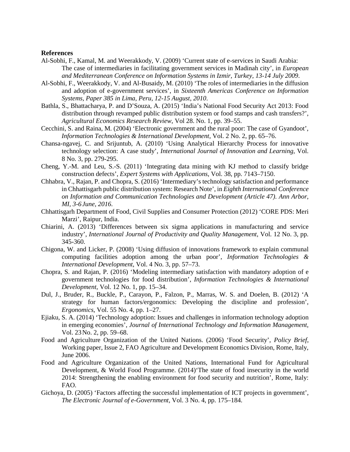#### **References**

- Al-Sobhi, F., Kamal, M. and Weerakkody, V. (2009) 'Current state of e-services in Saudi Arabia: The case of intermediaries in facilitating government services in Madinah city', in *European and Mediterranean Conference on Information Systems in Izmir, Turkey, 13-14 July 2009*.
- Al-Sobhi, F., Weerakkody, V. and Al-Busaidy, M. (2010) 'The roles of intermediaries in the diffusion and adoption of e-government services', in *Sixteenth Americas Conference on Information Systems, Paper 385 in Lima, Peru, 12-15 August, 2010*.
- Bathla, S., Bhattacharya, P. and D'Souza, A. (2015) 'India's National Food Security Act 2013: Food distribution through revamped public distribution system or food stamps and cash transfers?', *Agricultural Economics Research Review*, Vol 28. No. 1, pp. 39–55.
- Cecchini, S. and Raina, M. (2004) 'Electronic government and the rural poor: The case of Gyandoot', *Information Technologies & International Development*, Vol. 2 No. 2, pp. 65–76.
- Chansa-ngavej, C. and Srijuntub, A. (2010) 'Using Analytical Hierarchy Process for innovative technology selection: A case study', *International Journal of Innovation and Learning*, Vol. 8 No. 3, pp. 279-295.
- Cheng, Y.-M. and Leu, S.-S. (2011) 'Integrating data mining with KJ method to classify bridge construction defects', *Expert Systems with Applications*, Vol. 38, pp. 7143–7150.
- Chhabra, V., Rajan, P. and Chopra, S. (2016) 'Intermediary's technology satisfaction and performance in Chhattisgarh public distribution system: Research Note', in *Eighth International Conference on Information and Communication Technologies and Development (Article 47). Ann Arbor, MI, 3-6 June, 2016*.
- Chhattisgarh Department of Food, Civil Supplies and Consumer Protection (2012) 'CORE PDS: Meri Marzi', Raipur, India.
- Chiarini, A. (2013) 'Differences between six sigma applications in manufacturing and service industry', *International Journal of Productivity and Quality Management*, Vol. 12 No. 3, pp. 345-360.
- Chigona, W. and Licker, P. (2008) 'Using diffusion of innovations framework to explain communal computing facilities adoption among the urban poor', *Information Technologies & International Development*, Vol. 4 No. 3, pp. 57–73.
- Chopra, S. and Rajan, P. (2016) 'Modeling intermediary satisfaction with mandatory adoption of e government technologies for food distribution', *Information Technologies & International Development*, Vol. 12 No. 1, pp. 15–34.
- Dul, J., Bruder, R., Buckle, P., Carayon, P., Falzon, P., Marras, W. S. and Doelen, B. (2012) 'A strategy for human factors/ergonomics: Developing the discipline and profession', *Ergonomics*, Vol. 55 No. 4, pp. 1–27.
- Ejiaku, S. A. (2014) 'Technology adoption: Issues and challenges in information technology adoption in emerging economies', *Journal of International Technology and Information Management*, Vol. 23No. 2, pp. 59–68.
- Food and Agriculture Organization of the United Nations. (2006) 'Food Security', *Policy Brief*, Working paper, Issue 2, FAO Agriculture and Development Economics Division, Rome, Italy, June 2006.
- Food and Agriculture Organization of the United Nations, International Fund for Agricultural Development, & World Food Programme. (2014)'The state of food insecurity in the world 2014: Strengthening the enabling environment for food security and nutrition', Rome, Italy: FAO.
- Gichoya, D. (2005) 'Factors affecting the successful implementation of ICT projects in government', *The Electronic Journal of e-Government*, Vol. 3 No. 4, pp. 175–184.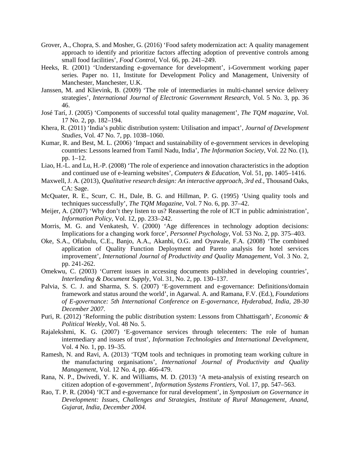- Grover, A., Chopra, S. and Mosher, G. (2016) 'Food safety modernization act: A quality management approach to identify and prioritize factors affecting adoption of preventive controls among small food facilities', *Food Control*, Vol. 66, pp. 241–249.
- Heeks, R. (2001) 'Understanding e-governance for development', i-Government working paper series. Paper no. 11, Institute for Development Policy and Management, University of Manchester, Manchester, U.K.
- Janssen, M. and Klievink, B. (2009) 'The role of intermediaries in multi-channel service delivery strategies', *International Journal of Electronic Government Research*, Vol. 5 No. 3, pp. 36 46.
- José Tarí, J. (2005) 'Components of successful total quality management', *The TQM magazine*, Vol. 17 No. 2, pp. 182–194.
- Khera, R. (2011) 'India's public distribution system: Utilisation and impact', *Journal of Development Studies*, Vol. 47 No. 7, pp. 1038–1060.
- Kumar, R. and Best, M. L. (2006) 'Impact and sustainability of e-government services in developing countries: Lessons learned from Tamil Nadu, India', *The Information Society*, Vol. 22 No. (1), pp. 1–12.
- Liao, H.-L. and Lu, H.-P. (2008) 'The role of experience and innovation characteristics in the adoption and continued use of e-learning websites', *Computers & Education*, Vol. 51, pp. 1405–1416.
- Maxwell, J. A. (2013), *Qualitative research design: An interactive approach, 3rd ed.*, Thousand Oaks, CA: Sage.
- McQuater, R. E., Scurr, C. H., Dale, B. G. and Hillman, P. G. (1995) 'Using quality tools and techniques successfully', *The TQM Magazine*, Vol. 7 No. 6, pp. 37–42.
- Meijer, A. (2007) 'Why don't they listen to us? Reasserting the role of ICT in public administration', *Information Policy*, Vol. 12, pp. 233–242.
- Morris, M. G. and Venkatesh, V. (2000) 'Age differences in technology adoption decisions: Implications for a changing work force', *Personnel Psychology*, Vol. 53 No. 2, pp. 375–403.
- Oke, S.A., Ofiabulu, C.E., Banjo, A.A., Akanbi, O.G. and Oyawale, F.A. (2008) 'The combined application of Quality Function Deployment and Pareto analysis for hotel services improvement', *International Journal of Productivity and Quality Management*, Vol. 3 No. 2, pp. 241-262.
- Omekwu, C. (2003) 'Current issues in accessing documents published in developing countries', *Interlending & Document Supply*, Vol. 31, No. 2, pp. 130–137.
- Palvia, S. C. J. and Sharma, S. S. (2007) 'E-government and e-governance: Definitions/domain framework and status around the world', in Agarwal. A. and Ramana, F.V. (Ed.), *Foundations of E-governance: 5th International Conference on E-governance, Hyderabad, India, 28-30 December 2007*.
- Puri, R. (2012) 'Reforming the public distribution system: Lessons from Chhattisgarh', *Economic & Political Weekly*, Vol. 48 No. 5.
- Rajalekshmi, K. G. (2007) 'E-governance services through telecenters: The role of human intermediary and issues of trust', *Information Technologies and International Development*, Vol. 4 No. 1, pp. 19–35.
- Ramesh, N. and Ravi, A. (2013) 'TQM tools and techniques in promoting team working culture in the manufacturing organisations', *International Journal of Productivity and Quality Management*, Vol. 12 No. 4, pp. 466-479.
- Rana, N. P., Dwivedi, Y. K. and Williams, M. D. (2013) 'A meta-analysis of existing research on citizen adoption of e-government', *Information Systems Frontiers*, Vol. 17, pp. 547–563.
- Rao, T. P. R. (2004) 'ICT and e-governance for rural development', in *Symposium on Governance in Development: Issues, Challenges and Strategies, Institute of Rural Management, Anand, Gujarat, India, December 2004.*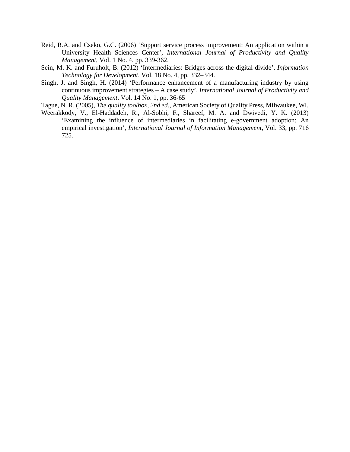- Reid, R.A. and Cseko, G.C. (2006) 'Support service process improvement: An application within a University Health Sciences Center', *International Journal of Productivity and Quality Management*, Vol. 1 No. 4, pp. 339-362.
- Sein, M. K. and Furuholt, B. (2012) 'Intermediaries: Bridges across the digital divide', *Information Technology for Development*, Vol. 18 No. 4, pp. 332–344.
- Singh, J. and Singh, H. (2014) 'Performance enhancement of a manufacturing industry by using continuous improvement strategies – A case study', *International Journal of Productivity and Quality Management*, Vol. 14 No. 1, pp. 36-65
- Tague, N. R. (2005), *The quality toolbox, 2nd ed.*, American Society of Quality Press, Milwaukee, WI.
- Weerakkody, V., El-Haddadeh, R., Al-Sobhi, F., Shareef, M. A. and Dwivedi, Y. K. (2013) 'Examining the influence of intermediaries in facilitating e-government adoption: An empirical investigation', *International Journal of Information Management,* Vol. 33, pp. 716 725.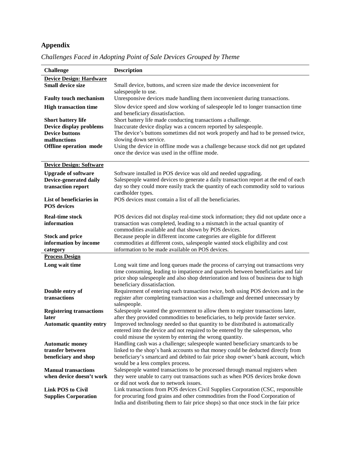# **Appendix**

| <b>Challenge</b>                                        | <b>Description</b>                                                                                                                                                         |
|---------------------------------------------------------|----------------------------------------------------------------------------------------------------------------------------------------------------------------------------|
| <b>Device Design: Hardware</b>                          |                                                                                                                                                                            |
| <b>Small device size</b>                                | Small device, buttons, and screen size made the device inconvenient for                                                                                                    |
|                                                         | salespeople to use.                                                                                                                                                        |
| <b>Faulty touch mechanism</b>                           | Unresponsive devices made handling them inconvenient during transactions.                                                                                                  |
| <b>High transaction time</b>                            | Slow device speed and slow working of salespeople led to longer transaction time                                                                                           |
|                                                         | and beneficiary dissatisfaction.                                                                                                                                           |
| <b>Short battery life</b>                               | Short battery life made conducting transactions a challenge.                                                                                                               |
| Device display problems                                 | Inaccurate device display was a concern reported by salespeople.                                                                                                           |
| <b>Device buttons</b>                                   | The device's buttons sometimes did not work properly and had to be pressed twice,                                                                                          |
| malfunctions                                            | slowing down service.                                                                                                                                                      |
| <b>Offline</b> operation mode                           | Using the device in offline mode was a challenge because stock did not get updated                                                                                         |
|                                                         | once the device was used in the offline mode.                                                                                                                              |
| <b>Device Design: Software</b>                          |                                                                                                                                                                            |
|                                                         |                                                                                                                                                                            |
| <b>Upgrade of software</b>                              | Software installed in POS device was old and needed upgrading.                                                                                                             |
| Device-generated daily<br>transaction report            | Salespeople wanted devices to generate a daily transaction report at the end of each<br>day so they could more easily track the quantity of each commodity sold to various |
|                                                         | cardholder types.                                                                                                                                                          |
| List of beneficiaries in                                | POS devices must contain a list of all the beneficiaries.                                                                                                                  |
| <b>POS</b> devices                                      |                                                                                                                                                                            |
|                                                         |                                                                                                                                                                            |
| <b>Real-time stock</b>                                  | POS devices did not display real-time stock information; they did not update once a                                                                                        |
| information                                             | transaction was completed, leading to a mismatch in the actual quantity of                                                                                                 |
|                                                         | commodities available and that shown by POS devices.                                                                                                                       |
| <b>Stock and price</b>                                  | Because people in different income categories are eligible for different                                                                                                   |
| information by income                                   | commodities at different costs, salespeople wanted stock eligibility and cost<br>information to be made available on POS devices.                                          |
| category<br><b>Process Design</b>                       |                                                                                                                                                                            |
|                                                         |                                                                                                                                                                            |
| Long wait time                                          | Long wait time and long queues made the process of carrying out transactions very                                                                                          |
|                                                         | time consuming, leading to impatience and quarrels between beneficiaries and fair                                                                                          |
|                                                         | price shop salespeople and also shop deterioration and loss of business due to high<br>beneficiary dissatisfaction.                                                        |
| Double entry of                                         | Requirement of entering each transaction twice, both using POS devices and in the                                                                                          |
| transactions                                            | register after completing transaction was a challenge and deemed unnecessary by                                                                                            |
|                                                         | salespeople.                                                                                                                                                               |
| <b>Registering transactions</b>                         | Salespeople wanted the government to allow them to register transactions later,                                                                                            |
| later                                                   | after they provided commodities to beneficiaries, to help provide faster service.                                                                                          |
| <b>Automatic quantity entry</b>                         | Improved technology needed so that quantity to be distributed is automatically                                                                                             |
|                                                         | entered into the device and not required to be entered by the salesperson, who                                                                                             |
|                                                         | could misuse the system by entering the wrong quantity.                                                                                                                    |
| <b>Automatic money</b>                                  | Handling cash was a challenge; salespeople wanted beneficiary smartcards to be                                                                                             |
| transfer between                                        | linked to the shop's bank accounts so that money could be deducted directly from                                                                                           |
| beneficiary and shop                                    | beneficiary's smartcard and debited to fair price shop owner's bank account, which                                                                                         |
|                                                         | would be a less complex process.                                                                                                                                           |
| <b>Manual transactions</b>                              | Salespeople wanted transactions to be processed through manual registers when                                                                                              |
| when device doesn't work                                | they were unable to carry out transactions such as when POS devices broke down                                                                                             |
|                                                         | or did not work due to network issues.                                                                                                                                     |
| <b>Link POS to Civil</b><br><b>Supplies Corporation</b> | Link transactions from POS devices Civil Supplies Corporation (CSC, responsible<br>for procuring food grains and other commodities from the Food Corporation of            |
|                                                         | India and distributing them to fair price shops) so that once stock in the fair price                                                                                      |

*Challenges Faced in Adopting Point of Sale Devices Grouped by Theme*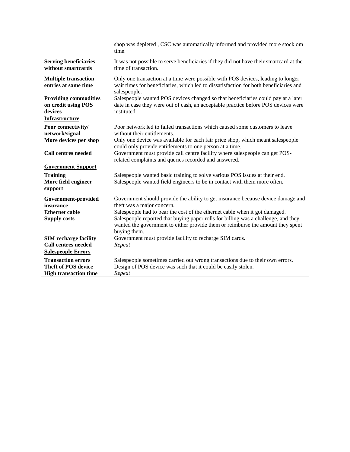| shop was depleted, CSC was automatically informed and provided more stock om<br>time.                                                                                                                                                                                |
|----------------------------------------------------------------------------------------------------------------------------------------------------------------------------------------------------------------------------------------------------------------------|
| It was not possible to serve beneficiaries if they did not have their smartcard at the<br>time of transaction.                                                                                                                                                       |
| Only one transaction at a time were possible with POS devices, leading to longer<br>wait times for beneficiaries, which led to dissatisfaction for both beneficiaries and<br>salespeople.                                                                            |
| Salespeople wanted POS devices changed so that beneficiaries could pay at a later<br>date in case they were out of cash, an acceptable practice before POS devices were<br>instituted.                                                                               |
|                                                                                                                                                                                                                                                                      |
| Poor network led to failed transactions which caused some customers to leave<br>without their entitlements.                                                                                                                                                          |
| Only one device was available for each fair price shop, which meant salespeople<br>could only provide entitlements to one person at a time.                                                                                                                          |
| Government must provide call centre facility where salespeople can get POS-<br>related complaints and queries recorded and answered.                                                                                                                                 |
|                                                                                                                                                                                                                                                                      |
| Salespeople wanted basic training to solve various POS issues at their end.<br>Salespeople wanted field engineers to be in contact with them more often.                                                                                                             |
| Government should provide the ability to get insurance because device damage and<br>theft was a major concern.                                                                                                                                                       |
| Salespeople had to bear the cost of the ethernet cable when it got damaged.<br>Salespeople reported that buying paper rolls for billing was a challenge, and they<br>wanted the government to either provide them or reimburse the amount they spent<br>buying them. |
| Government must provide facility to recharge SIM cards.                                                                                                                                                                                                              |
| Repeat                                                                                                                                                                                                                                                               |
|                                                                                                                                                                                                                                                                      |
| Salespeople sometimes carried out wrong transactions due to their own errors.<br>Design of POS device was such that it could be easily stolen.<br>Repeat                                                                                                             |
|                                                                                                                                                                                                                                                                      |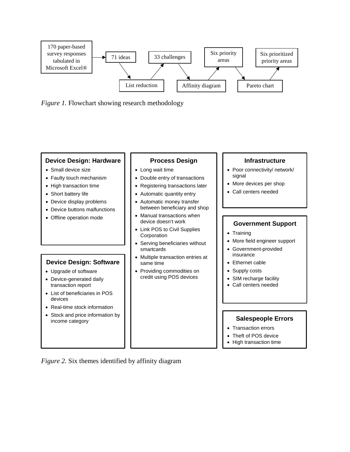



#### **Device Design: Hardware**

- Small device size
- Faulty touch mechanism
- High transaction time
- Short battery life
- Device display problems
- Device buttons malfunctions
- Offline operation mode

#### **Device Design: Software**

- Upgrade of software
- Device-generated daily transaction report
- List of beneficiaries in POS devices
- Real-time stock information
- Stock and price information by income category

#### **Process Design**

- Long wait time
- Double entry of transactions
- Registering transactions later
- Automatic quantity entry
- Automatic money transfer between beneficiary and shop
- Manual transactions when device doesn't work
- Link POS to Civil Supplies **Corporation**
- Serving beneficiaries without smartcards
- Multiple transaction entries at same time
- Providing commodities on credit using POS devices

#### **Infrastructure**

- Poor connectivity/ network/ signal
- More devices per shop
- Call centers needed

#### **Government Support**

- Training
- More field engineer support
- Government-provided insurance
- Ethernet cable
- Supply costs
- SIM recharge facility
- Call centers needed

#### **Salespeople Errors**

- Transaction errors
- Theft of POS device
- High transaction time

*Figure 2.* Six themes identified by affinity diagram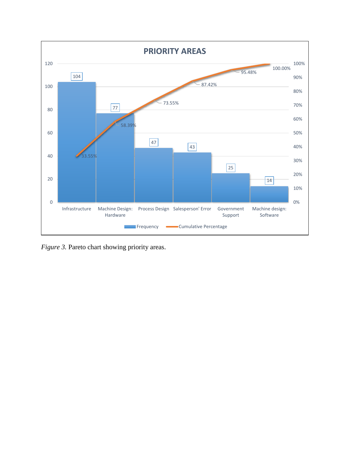

*Figure 3.* Pareto chart showing priority areas.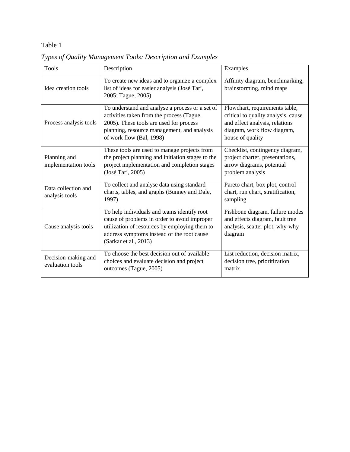# Table 1

| <b>Tools</b>                            | Description                                                                                                                                                                                                         | Examples                                                                                                                                                   |  |
|-----------------------------------------|---------------------------------------------------------------------------------------------------------------------------------------------------------------------------------------------------------------------|------------------------------------------------------------------------------------------------------------------------------------------------------------|--|
| Idea creation tools                     | To create new ideas and to organize a complex<br>list of ideas for easier analysis (José Tarí,<br>2005; Tague, 2005)                                                                                                | Affinity diagram, benchmarking,<br>brainstorming, mind maps                                                                                                |  |
| Process analysis tools                  | To understand and analyse a process or a set of<br>activities taken from the process (Tague,<br>2005). These tools are used for process<br>planning, resource management, and analysis<br>of work flow (Bal, 1998)  | Flowchart, requirements table,<br>critical to quality analysis, cause<br>and effect analysis, relations<br>diagram, work flow diagram,<br>house of quality |  |
| Planning and<br>implementation tools    | These tools are used to manage projects from<br>the project planning and initiation stages to the<br>project implementation and completion stages<br>(José Tarí, 2005)                                              | Checklist, contingency diagram,<br>project charter, presentations,<br>arrow diagrams, potential<br>problem analysis                                        |  |
| Data collection and<br>analysis tools   | To collect and analyse data using standard<br>charts, tables, and graphs (Bunney and Dale,<br>1997)                                                                                                                 | Pareto chart, box plot, control<br>chart, run chart, stratification,<br>sampling                                                                           |  |
| Cause analysis tools                    | To help individuals and teams identify root<br>cause of problems in order to avoid improper<br>utilization of resources by employing them to<br>address symptoms instead of the root cause<br>(Sarkar et al., 2013) | Fishbone diagram, failure modes<br>and effects diagram, fault tree<br>analysis, scatter plot, why-why<br>diagram                                           |  |
| Decision-making and<br>evaluation tools | To choose the best decision out of available<br>choices and evaluate decision and project<br>outcomes (Tague, 2005)                                                                                                 | List reduction, decision matrix,<br>decision tree, prioritization<br>matrix                                                                                |  |

*Types of Quality Management Tools: Description and Examples*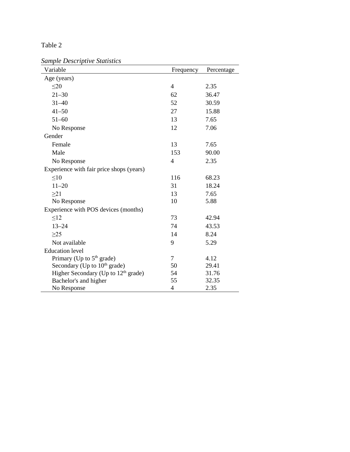| able |  |
|------|--|
|------|--|

*Sample Descriptive Statistics*

| Variable                                        | Frequency      | Percentage |
|-------------------------------------------------|----------------|------------|
| Age (years)                                     |                |            |
| $\leq$ 20                                       | $\overline{4}$ | 2.35       |
| $21 - 30$                                       | 62             | 36.47      |
| $31 - 40$                                       | 52             | 30.59      |
| $41 - 50$                                       | 27             | 15.88      |
| $51 - 60$                                       | 13             | 7.65       |
| No Response                                     | 12             | 7.06       |
| Gender                                          |                |            |
| Female                                          | 13             | 7.65       |
| Male                                            | 153            | 90.00      |
| No Response                                     | $\overline{4}$ | 2.35       |
| Experience with fair price shops (years)        |                |            |
| $\leq 10$                                       | 116            | 68.23      |
| $11 - 20$                                       | 31             | 18.24      |
| $\geq$ 21                                       | 13             | 7.65       |
| No Response                                     | 10             | 5.88       |
| Experience with POS devices (months)            |                |            |
| $\leq$ 12                                       | 73             | 42.94      |
| $13 - 24$                                       | 74             | 43.53      |
| $\geq$ 25                                       | 14             | 8.24       |
| Not available                                   | 9              | 5.29       |
| <b>Education</b> level                          |                |            |
| Primary (Up to $5th$ grade)                     | 7              | 4.12       |
| Secondary (Up to 10 <sup>th</sup> grade)        | 50             | 29.41      |
| Higher Secondary (Up to 12 <sup>th</sup> grade) | 54             | 31.76      |
| Bachelor's and higher                           | 55             | 32.35      |
| No Response                                     | $\overline{4}$ | 2.35       |